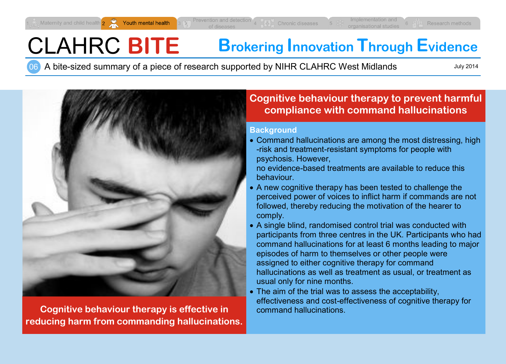# CLAHRC **BITE Brokering Innovation Through Evidence**

06 A bite-sized summary of a piece of research supported by NIHR CLAHRC West Midlands

July 2014



**Cognitive behaviour therapy is effective in reducing harm from commanding hallucinations.**

## **Cognitive behaviour therapy to prevent harmful compliance with command hallucinations**

#### **Background**

 Command hallucinations are among the most distressing, high -risk and treatment-resistant symptoms for people with psychosis. However,

no evidence-based treatments are available to reduce this behaviour.

- A new cognitive therapy has been tested to challenge the perceived power of voices to inflict harm if commands are not followed, thereby reducing the motivation of the hearer to comply.
- A single blind, randomised control trial was conducted with participants from three centres in the UK. Participants who had command hallucinations for at least 6 months leading to major episodes of harm to themselves or other people were assigned to either cognitive therapy for command hallucinations as well as treatment as usual, or treatment as usual only for nine months.
- The aim of the trial was to assess the acceptability, effectiveness and cost-effectiveness of cognitive therapy for command hallucinations.